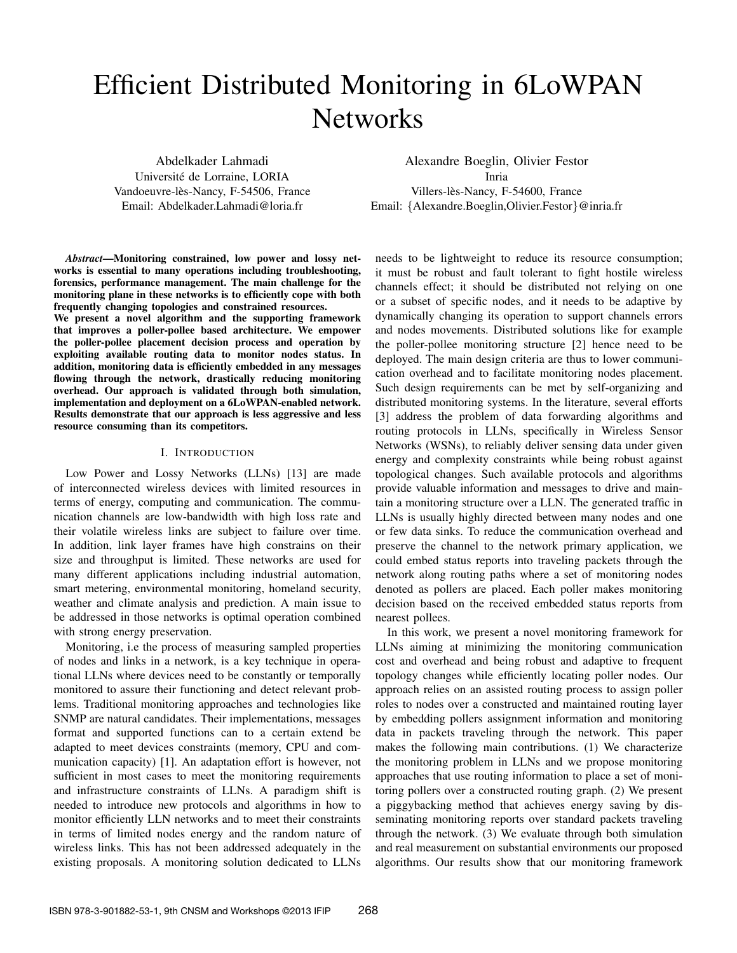# Efficient Distributed Monitoring in 6LoWPAN **Networks**

Abdelkader Lahmadi Universite de Lorraine, LORIA ´ Vandoeuvre-les-Nancy, F-54506, France ` Email: Abdelkader.Lahmadi@loria.fr

Alexandre Boeglin, Olivier Festor Inria Villers-lès-Nancy, F-54600, France Email: {Alexandre.Boeglin,Olivier.Festor}@inria.fr

*Abstract*—Monitoring constrained, low power and lossy networks is essential to many operations including troubleshooting, forensics, performance management. The main challenge for the monitoring plane in these networks is to efficiently cope with both frequently changing topologies and constrained resources.

We present a novel algorithm and the supporting framework that improves a poller-pollee based architecture. We empower the poller-pollee placement decision process and operation by exploiting available routing data to monitor nodes status. In addition, monitoring data is efficiently embedded in any messages flowing through the network, drastically reducing monitoring overhead. Our approach is validated through both simulation, implementation and deployment on a 6LoWPAN-enabled network. Results demonstrate that our approach is less aggressive and less resource consuming than its competitors.

### I. INTRODUCTION

Low Power and Lossy Networks (LLNs) [13] are made of interconnected wireless devices with limited resources in terms of energy, computing and communication. The communication channels are low-bandwidth with high loss rate and their volatile wireless links are subject to failure over time. In addition, link layer frames have high constrains on their size and throughput is limited. These networks are used for many different applications including industrial automation, smart metering, environmental monitoring, homeland security, weather and climate analysis and prediction. A main issue to be addressed in those networks is optimal operation combined with strong energy preservation.

Monitoring, i.e the process of measuring sampled properties of nodes and links in a network, is a key technique in operational LLNs where devices need to be constantly or temporally monitored to assure their functioning and detect relevant problems. Traditional monitoring approaches and technologies like SNMP are natural candidates. Their implementations, messages format and supported functions can to a certain extend be adapted to meet devices constraints (memory, CPU and communication capacity) [1]. An adaptation effort is however, not sufficient in most cases to meet the monitoring requirements and infrastructure constraints of LLNs. A paradigm shift is needed to introduce new protocols and algorithms in how to monitor efficiently LLN networks and to meet their constraints in terms of limited nodes energy and the random nature of wireless links. This has not been addressed adequately in the existing proposals. A monitoring solution dedicated to LLNs

needs to be lightweight to reduce its resource consumption; it must be robust and fault tolerant to fight hostile wireless channels effect; it should be distributed not relying on one or a subset of specific nodes, and it needs to be adaptive by dynamically changing its operation to support channels errors and nodes movements. Distributed solutions like for example the poller-pollee monitoring structure [2] hence need to be deployed. The main design criteria are thus to lower communication overhead and to facilitate monitoring nodes placement. Such design requirements can be met by self-organizing and distributed monitoring systems. In the literature, several efforts [3] address the problem of data forwarding algorithms and routing protocols in LLNs, specifically in Wireless Sensor Networks (WSNs), to reliably deliver sensing data under given energy and complexity constraints while being robust against topological changes. Such available protocols and algorithms provide valuable information and messages to drive and maintain a monitoring structure over a LLN. The generated traffic in LLNs is usually highly directed between many nodes and one or few data sinks. To reduce the communication overhead and preserve the channel to the network primary application, we could embed status reports into traveling packets through the network along routing paths where a set of monitoring nodes denoted as pollers are placed. Each poller makes monitoring decision based on the received embedded status reports from nearest pollees.

In this work, we present a novel monitoring framework for LLNs aiming at minimizing the monitoring communication cost and overhead and being robust and adaptive to frequent topology changes while efficiently locating poller nodes. Our approach relies on an assisted routing process to assign poller roles to nodes over a constructed and maintained routing layer by embedding pollers assignment information and monitoring data in packets traveling through the network. This paper makes the following main contributions. (1) We characterize the monitoring problem in LLNs and we propose monitoring approaches that use routing information to place a set of monitoring pollers over a constructed routing graph. (2) We present a piggybacking method that achieves energy saving by disseminating monitoring reports over standard packets traveling through the network. (3) We evaluate through both simulation and real measurement on substantial environments our proposed algorithms. Our results show that our monitoring framework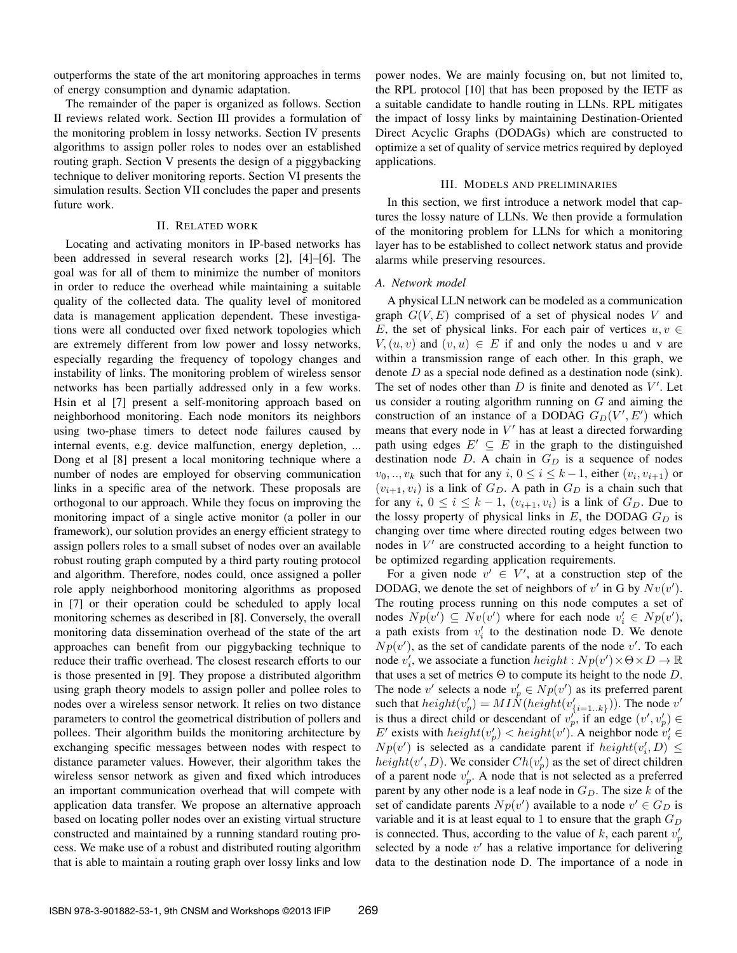outperforms the state of the art monitoring approaches in terms of energy consumption and dynamic adaptation.

The remainder of the paper is organized as follows. Section II reviews related work. Section III provides a formulation of the monitoring problem in lossy networks. Section IV presents algorithms to assign poller roles to nodes over an established routing graph. Section V presents the design of a piggybacking technique to deliver monitoring reports. Section VI presents the simulation results. Section VII concludes the paper and presents future work.

## II. RELATED WORK

Locating and activating monitors in IP-based networks has been addressed in several research works [2], [4]–[6]. The goal was for all of them to minimize the number of monitors in order to reduce the overhead while maintaining a suitable quality of the collected data. The quality level of monitored data is management application dependent. These investigations were all conducted over fixed network topologies which are extremely different from low power and lossy networks, especially regarding the frequency of topology changes and instability of links. The monitoring problem of wireless sensor networks has been partially addressed only in a few works. Hsin et al [7] present a self-monitoring approach based on neighborhood monitoring. Each node monitors its neighbors using two-phase timers to detect node failures caused by internal events, e.g. device malfunction, energy depletion, ... Dong et al [8] present a local monitoring technique where a number of nodes are employed for observing communication links in a specific area of the network. These proposals are orthogonal to our approach. While they focus on improving the monitoring impact of a single active monitor (a poller in our framework), our solution provides an energy efficient strategy to assign pollers roles to a small subset of nodes over an available robust routing graph computed by a third party routing protocol and algorithm. Therefore, nodes could, once assigned a poller role apply neighborhood monitoring algorithms as proposed in [7] or their operation could be scheduled to apply local monitoring schemes as described in [8]. Conversely, the overall monitoring data dissemination overhead of the state of the art approaches can benefit from our piggybacking technique to reduce their traffic overhead. The closest research efforts to our is those presented in [9]. They propose a distributed algorithm using graph theory models to assign poller and pollee roles to nodes over a wireless sensor network. It relies on two distance parameters to control the geometrical distribution of pollers and pollees. Their algorithm builds the monitoring architecture by exchanging specific messages between nodes with respect to distance parameter values. However, their algorithm takes the wireless sensor network as given and fixed which introduces an important communication overhead that will compete with application data transfer. We propose an alternative approach based on locating poller nodes over an existing virtual structure constructed and maintained by a running standard routing process. We make use of a robust and distributed routing algorithm that is able to maintain a routing graph over lossy links and low power nodes. We are mainly focusing on, but not limited to, the RPL protocol [10] that has been proposed by the IETF as a suitable candidate to handle routing in LLNs. RPL mitigates the impact of lossy links by maintaining Destination-Oriented Direct Acyclic Graphs (DODAGs) which are constructed to optimize a set of quality of service metrics required by deployed applications.

# III. MODELS AND PRELIMINARIES

In this section, we first introduce a network model that captures the lossy nature of LLNs. We then provide a formulation of the monitoring problem for LLNs for which a monitoring layer has to be established to collect network status and provide alarms while preserving resources.

## *A. Network model*

A physical LLN network can be modeled as a communication graph  $G(V, E)$  comprised of a set of physical nodes V and E, the set of physical links. For each pair of vertices  $u, v \in$  $V,(u, v)$  and  $(v, u) \in E$  if and only the nodes u and v are within a transmission range of each other. In this graph, we denote  $D$  as a special node defined as a destination node (sink). The set of nodes other than  $D$  is finite and denoted as  $V'$ . Let us consider a routing algorithm running on  $G$  and aiming the construction of an instance of a DODAG  $G_D(V', E')$  which means that every node in  $V'$  has at least a directed forwarding path using edges  $E' \subseteq E$  in the graph to the distinguished destination node D. A chain in  $G<sub>D</sub>$  is a sequence of nodes  $v_0, \ldots, v_k$  such that for any  $i, 0 \le i \le k-1$ , either  $(v_i, v_{i+1})$  or  $(v_{i+1}, v_i)$  is a link of  $G_D$ . A path in  $G_D$  is a chain such that for any i,  $0 \le i \le k - 1$ ,  $(v_{i+1}, v_i)$  is a link of  $G_D$ . Due to the lossy property of physical links in  $E$ , the DODAG  $G_D$  is changing over time where directed routing edges between two nodes in  $V'$  are constructed according to a height function to be optimized regarding application requirements.

For a given node  $v' \in V'$ , at a construction step of the DODAG, we denote the set of neighbors of  $v'$  in G by  $Nv(v')$ . The routing process running on this node computes a set of nodes  $Np(v') \subseteq Nv(v')$  where for each node  $v'_i \in Np(v')$ , a path exists from  $v_i'$  to the destination node D. We denote  $Np(v')$ , as the set of candidate parents of the node v'. To each node  $v'_i$ , we associate a function  $height : Np(v') \times \Theta \times D \rightarrow \mathbb{R}$ that uses a set of metrics  $\Theta$  to compute its height to the node  $D$ . The node v' selects a node  $v'_p \in Np(v')$  as its preferred parent such that  $height(v'_p) = MIN(height(v'_{i=1..k})$ ). The node v' is thus a direct child or descendant of  $v_p'$ , if an edge  $(v', v_p') \in$ E' exists with  $height(v'_p) < height(v')$ . A neighbor node  $v'_i \in$  $Np(v')$  is selected as a candidate parent if  $height(v'_i, D) \leq$  $height(v', D)$ . We consider  $Ch(v_p')$  as the set of direct children of a parent node  $v'_p$ . A node that is not selected as a preferred parent by any other node is a leaf node in  $G<sub>D</sub>$ . The size k of the set of candidate parents  $Np(v')$  available to a node  $v' \in G_D$  is variable and it is at least equal to 1 to ensure that the graph  $G_D$ is connected. Thus, according to the value of k, each parent  $v_p'$ selected by a node  $v'$  has a relative importance for delivering data to the destination node D. The importance of a node in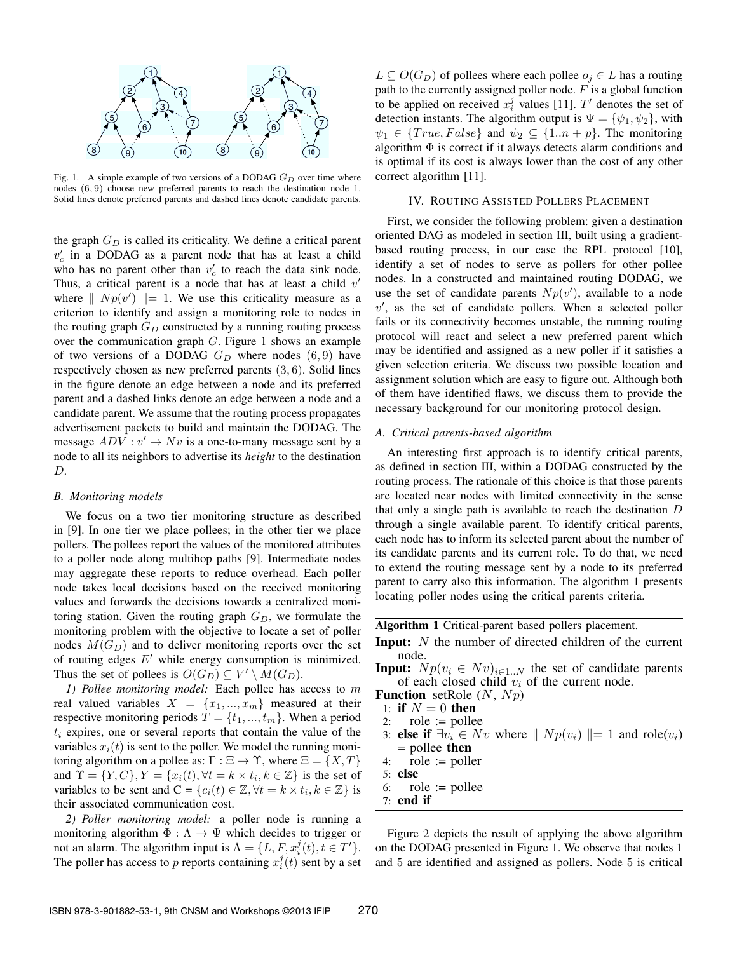

Fig. 1. A simple example of two versions of a DODAG  $G_D$  over time where nodes (6, 9) choose new preferred parents to reach the destination node 1. Solid lines denote preferred parents and dashed lines denote candidate parents.

the graph  $G_D$  is called its criticality. We define a critical parent  $v_c$  in a DODAG as a parent node that has at least a child who has no parent other than  $v_c$  to reach the data sink node. Thus, a critical parent is a node that has at least a child  $v'$ where  $|| Np(v') ||= 1$ . We use this criticality measure as a criterion to identify and assign a monitoring role to nodes in the routing graph  $G_D$  constructed by a running routing process over the communication graph  $G$ . Figure 1 shows an example of two versions of a DODAG  $G_D$  where nodes  $(6, 9)$  have respectively chosen as new preferred parents (3, 6). Solid lines in the figure denote an edge between a node and its preferred parent and a dashed links denote an edge between a node and a candidate parent. We assume that the routing process propagates advertisement packets to build and maintain the DODAG. The message  $ADV : v' \rightarrow Nv$  is a one-to-many message sent by a node to all its neighbors to advertise its *height* to the destination D.

## *B. Monitoring models*

We focus on a two tier monitoring structure as described in [9]. In one tier we place pollees; in the other tier we place pollers. The pollees report the values of the monitored attributes to a poller node along multihop paths [9]. Intermediate nodes may aggregate these reports to reduce overhead. Each poller node takes local decisions based on the received monitoring values and forwards the decisions towards a centralized monitoring station. Given the routing graph  $G_D$ , we formulate the monitoring problem with the objective to locate a set of poller nodes  $M(G_D)$  and to deliver monitoring reports over the set of routing edges  $E'$  while energy consumption is minimized. Thus the set of pollees is  $O(G_D) \subseteq V' \setminus M(G_D)$ .

*1) Pollee monitoring model:* Each pollee has access to m real valued variables  $X = \{x_1, ..., x_m\}$  measured at their respective monitoring periods  $T = \{t_1, ..., t_m\}$ . When a period  $t_i$  expires, one or several reports that contain the value of the variables  $x_i(t)$  is sent to the poller. We model the running monitoring algorithm on a pollee as:  $\Gamma : \Xi \to \Upsilon$ , where  $\Xi = \{X, T\}$ and  $\Upsilon = \{Y, C\}, Y = \{x_i(t), \forall t = k \times t_i, k \in \mathbb{Z}\}\$ is the set of variables to be sent and  $C = \{c_i(t) \in \mathbb{Z}, \forall t = k \times t_i, k \in \mathbb{Z}\}\$ is their associated communication cost.

*2) Poller monitoring model:* a poller node is running a monitoring algorithm  $\Phi : \Lambda \to \Psi$  which decides to trigger or not an alarm. The algorithm input is  $\Lambda = \{L, F, x_i^j(t), t \in T'\}.$ The poller has access to p reports containing  $x_i^j(t)$  sent by a set

 $L \subseteq O(G_D)$  of pollees where each pollee  $o_i \in L$  has a routing path to the currently assigned poller node.  $F$  is a global function to be applied on received  $x_i^j$  values [11].  $T'$  denotes the set of detection instants. The algorithm output is  $\Psi = {\psi_1, \psi_2}$ , with  $\psi_1 \in \{True, False\}$  and  $\psi_2 \subseteq \{1..n + p\}$ . The monitoring algorithm  $\Phi$  is correct if it always detects alarm conditions and is optimal if its cost is always lower than the cost of any other correct algorithm [11].

## IV. ROUTING ASSISTED POLLERS PLACEMENT

First, we consider the following problem: given a destination oriented DAG as modeled in section III, built using a gradientbased routing process, in our case the RPL protocol [10], identify a set of nodes to serve as pollers for other pollee nodes. In a constructed and maintained routing DODAG, we use the set of candidate parents  $Np(v')$ , available to a node  $v'$ , as the set of candidate pollers. When a selected poller fails or its connectivity becomes unstable, the running routing protocol will react and select a new preferred parent which may be identified and assigned as a new poller if it satisfies a given selection criteria. We discuss two possible location and assignment solution which are easy to figure out. Although both of them have identified flaws, we discuss them to provide the necessary background for our monitoring protocol design.

#### *A. Critical parents-based algorithm*

An interesting first approach is to identify critical parents, as defined in section III, within a DODAG constructed by the routing process. The rationale of this choice is that those parents are located near nodes with limited connectivity in the sense that only a single path is available to reach the destination D through a single available parent. To identify critical parents, each node has to inform its selected parent about the number of its candidate parents and its current role. To do that, we need to extend the routing message sent by a node to its preferred parent to carry also this information. The algorithm 1 presents locating poller nodes using the critical parents criteria.

|  | Algorithm 1 Critical-parent based pollers placement. |  |  |
|--|------------------------------------------------------|--|--|
|--|------------------------------------------------------|--|--|

Input: N the number of directed children of the current node.

**Input:**  $Np(v_i \in Nv)_{i \in 1..N}$  the set of candidate parents of each closed child  $v_i$  of the current node.

**Function** setRole  $(N, Np)$ 

1: if  $N = 0$  then

2:  $role := pollee$ 

3: else if  $\exists v_i \in Nv$  where  $|| N p(v_i) ||= 1$  and role $(v_i)$  $=$  pollee then

4: role := poller

- 5: else
- 6:  $role := police$
- 7: end if

Figure 2 depicts the result of applying the above algorithm on the DODAG presented in Figure 1. We observe that nodes 1 and 5 are identified and assigned as pollers. Node 5 is critical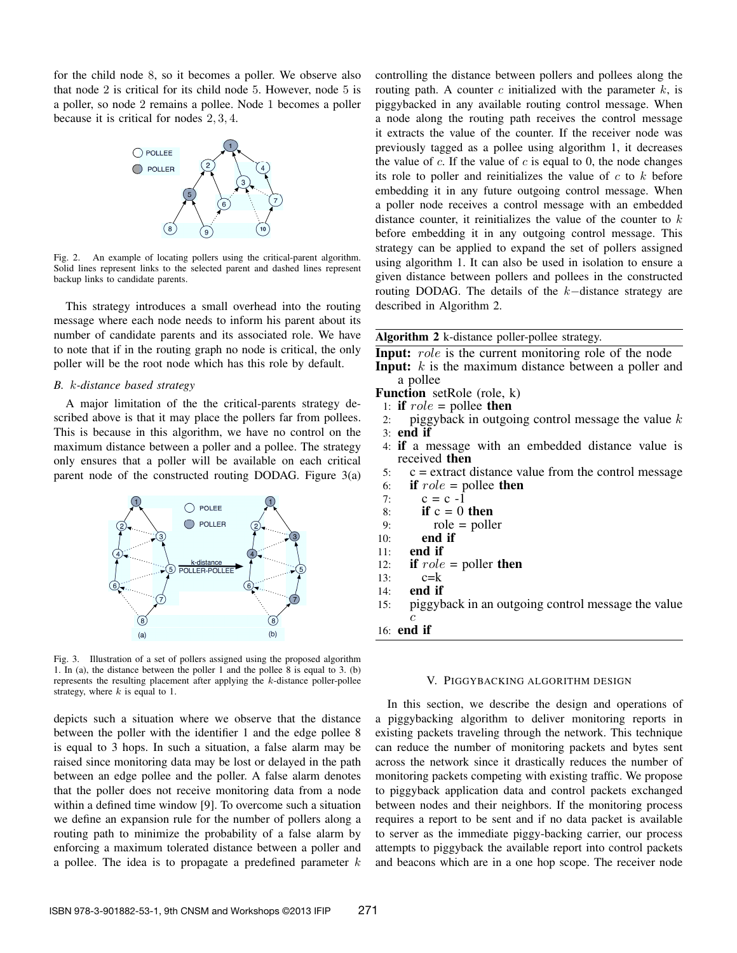for the child node 8, so it becomes a poller. We observe also that node 2 is critical for its child node 5. However, node 5 is a poller, so node 2 remains a pollee. Node 1 becomes a poller because it is critical for nodes 2, 3, 4.



Fig. 2. An example of locating pollers using the critical-parent algorithm. Solid lines represent links to the selected parent and dashed lines represent backup links to candidate parents.

This strategy introduces a small overhead into the routing message where each node needs to inform his parent about its number of candidate parents and its associated role. We have to note that if in the routing graph no node is critical, the only poller will be the root node which has this role by default.

### *B.* k*-distance based strategy*

A major limitation of the the critical-parents strategy described above is that it may place the pollers far from pollees. This is because in this algorithm, we have no control on the maximum distance between a poller and a pollee. The strategy only ensures that a poller will be available on each critical parent node of the constructed routing DODAG. Figure 3(a)



Fig. 3. Illustration of a set of pollers assigned using the proposed algorithm 1. In (a), the distance between the poller 1 and the pollee 8 is equal to 3. (b) represents the resulting placement after applying the k-distance poller-pollee strategy, where  $k$  is equal to 1.

depicts such a situation where we observe that the distance between the poller with the identifier 1 and the edge pollee 8 is equal to 3 hops. In such a situation, a false alarm may be raised since monitoring data may be lost or delayed in the path between an edge pollee and the poller. A false alarm denotes that the poller does not receive monitoring data from a node within a defined time window [9]. To overcome such a situation we define an expansion rule for the number of pollers along a routing path to minimize the probability of a false alarm by enforcing a maximum tolerated distance between a poller and a pollee. The idea is to propagate a predefined parameter  $k$ 

controlling the distance between pollers and pollees along the routing path. A counter  $c$  initialized with the parameter  $k$ , is piggybacked in any available routing control message. When a node along the routing path receives the control message it extracts the value of the counter. If the receiver node was previously tagged as a pollee using algorithm 1, it decreases the value of  $c$ . If the value of  $c$  is equal to 0, the node changes its role to poller and reinitializes the value of  $c$  to  $k$  before embedding it in any future outgoing control message. When a poller node receives a control message with an embedded distance counter, it reinitializes the value of the counter to  $k$ before embedding it in any outgoing control message. This strategy can be applied to expand the set of pollers assigned using algorithm 1. It can also be used in isolation to ensure a given distance between pollers and pollees in the constructed routing DODAG. The details of the k−distance strategy are described in Algorithm 2.

Algorithm 2 k-distance poller-pollee strategy.

Input: *role* is the current monitoring role of the node **Input:** k is the maximum distance between a poller and a pollee

- Function setRole (role, k)
- 1: if  $role =$  pollee then
- 2: piggyback in outgoing control message the value  $k$ 3: end if
- 4: if a message with an embedded distance value is received then
- 5:  $c =$  extract distance value from the control message
- 6: if  $role =$  pollee then
- 7:  $c = c -1$
- 8: **if**  $c = 0$  **then**<br>9: **if**  $c = 0$  **then**
- $role = pollen$
- 10: **end if**
- 11: end if 12: if  $role = pollen$  then
- 13:  $c=k$
- 14: end if
- 15: piggyback in an outgoing control message the value

 $\overline{c}$ 16: end if

# V. PIGGYBACKING ALGORITHM DESIGN

In this section, we describe the design and operations of a piggybacking algorithm to deliver monitoring reports in existing packets traveling through the network. This technique can reduce the number of monitoring packets and bytes sent across the network since it drastically reduces the number of monitoring packets competing with existing traffic. We propose to piggyback application data and control packets exchanged between nodes and their neighbors. If the monitoring process requires a report to be sent and if no data packet is available to server as the immediate piggy-backing carrier, our process attempts to piggyback the available report into control packets and beacons which are in a one hop scope. The receiver node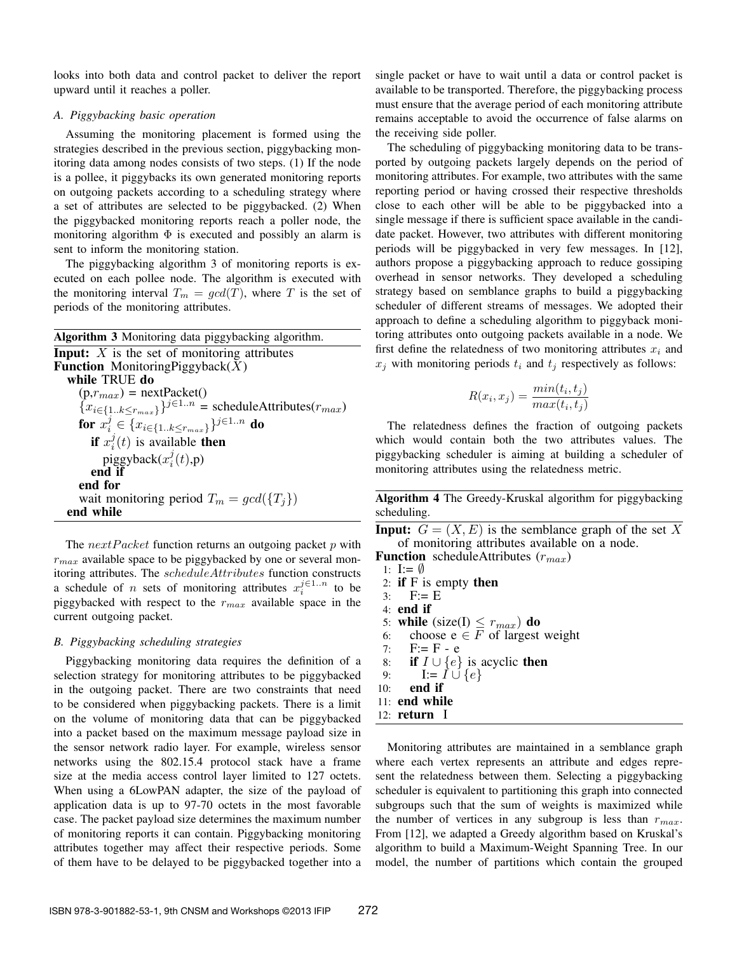looks into both data and control packet to deliver the report upward until it reaches a poller.

# *A. Piggybacking basic operation*

Assuming the monitoring placement is formed using the strategies described in the previous section, piggybacking monitoring data among nodes consists of two steps. (1) If the node is a pollee, it piggybacks its own generated monitoring reports on outgoing packets according to a scheduling strategy where a set of attributes are selected to be piggybacked. (2) When the piggybacked monitoring reports reach a poller node, the monitoring algorithm  $\Phi$  is executed and possibly an alarm is sent to inform the monitoring station.

The piggybacking algorithm 3 of monitoring reports is executed on each pollee node. The algorithm is executed with the monitoring interval  $T_m = gcd(T)$ , where T is the set of periods of the monitoring attributes.

Algorithm 3 Monitoring data piggybacking algorithm. **Input:**  $X$  is the set of monitoring attributes **Function** MonitoringPiggyback $(X)$ while TRUE do  $(p,r_{max})$  = nextPacket()  ${x_{i\in\{1..k\leq r_{max}\}}^{j\in 1..n}} =$  scheduleAttributes( $r_{max}$ ) for  $x_i^j \in \overline{\{x_{i\in\{1..k\leq r_{max}\}}\}^{j\in 1..n}}$  do if  $x_i^j$  $i<sub>i</sub>(t)$  is available then piggyback $(x_i^j)$  $\frac{\partial}{\partial t}(t)$ , p end if end for wait monitoring period  $T_m = gcd({T_i})$ end while

The  $nextPacket$  function returns an outgoing packet p with  $r_{max}$  available space to be piggybacked by one or several monitoring attributes. The scheduleAttributes function constructs a schedule of *n* sets of monitoring attributes  $x_i^{j \in 1..n}$  to be piggybacked with respect to the  $r_{max}$  available space in the current outgoing packet.

## *B. Piggybacking scheduling strategies*

Piggybacking monitoring data requires the definition of a selection strategy for monitoring attributes to be piggybacked in the outgoing packet. There are two constraints that need to be considered when piggybacking packets. There is a limit on the volume of monitoring data that can be piggybacked into a packet based on the maximum message payload size in the sensor network radio layer. For example, wireless sensor networks using the 802.15.4 protocol stack have a frame size at the media access control layer limited to 127 octets. When using a 6LowPAN adapter, the size of the payload of application data is up to 97-70 octets in the most favorable case. The packet payload size determines the maximum number of monitoring reports it can contain. Piggybacking monitoring attributes together may affect their respective periods. Some of them have to be delayed to be piggybacked together into a

single packet or have to wait until a data or control packet is available to be transported. Therefore, the piggybacking process must ensure that the average period of each monitoring attribute remains acceptable to avoid the occurrence of false alarms on the receiving side poller.

The scheduling of piggybacking monitoring data to be transported by outgoing packets largely depends on the period of monitoring attributes. For example, two attributes with the same reporting period or having crossed their respective thresholds close to each other will be able to be piggybacked into a single message if there is sufficient space available in the candidate packet. However, two attributes with different monitoring periods will be piggybacked in very few messages. In [12], authors propose a piggybacking approach to reduce gossiping overhead in sensor networks. They developed a scheduling strategy based on semblance graphs to build a piggybacking scheduler of different streams of messages. We adopted their approach to define a scheduling algorithm to piggyback monitoring attributes onto outgoing packets available in a node. We first define the relatedness of two monitoring attributes  $x_i$  and  $x_j$  with monitoring periods  $t_i$  and  $t_j$  respectively as follows:

$$
R(x_i, x_j) = \frac{\min(t_i, t_j)}{\max(t_i, t_j)}
$$

The relatedness defines the fraction of outgoing packets which would contain both the two attributes values. The piggybacking scheduler is aiming at building a scheduler of monitoring attributes using the relatedness metric.

Algorithm 4 The Greedy-Kruskal algorithm for piggybacking scheduling.

**Input:**  $G = (X, E)$  is the semblance graph of the set X of monitoring attributes available on a node.

**Function** scheduleAttributes  $(r_{max})$ 

1:  $I := \emptyset$ 2: if F is empty then  $3:$   $F:= E$ 4: end if 5: while (size(I)  $\leq r_{max}$ ) do 6: choose  $e \in F$  of largest weight<br>7: F:= F - e  $F = F - e$ 8: if  $I \cup \{e\}$  is acyclic then 9: I:=  $I \cup \{e\}$ 10: end if 11: end while

12: return I

Monitoring attributes are maintained in a semblance graph where each vertex represents an attribute and edges represent the relatedness between them. Selecting a piggybacking scheduler is equivalent to partitioning this graph into connected subgroups such that the sum of weights is maximized while the number of vertices in any subgroup is less than  $r_{max}$ . From [12], we adapted a Greedy algorithm based on Kruskal's algorithm to build a Maximum-Weight Spanning Tree. In our model, the number of partitions which contain the grouped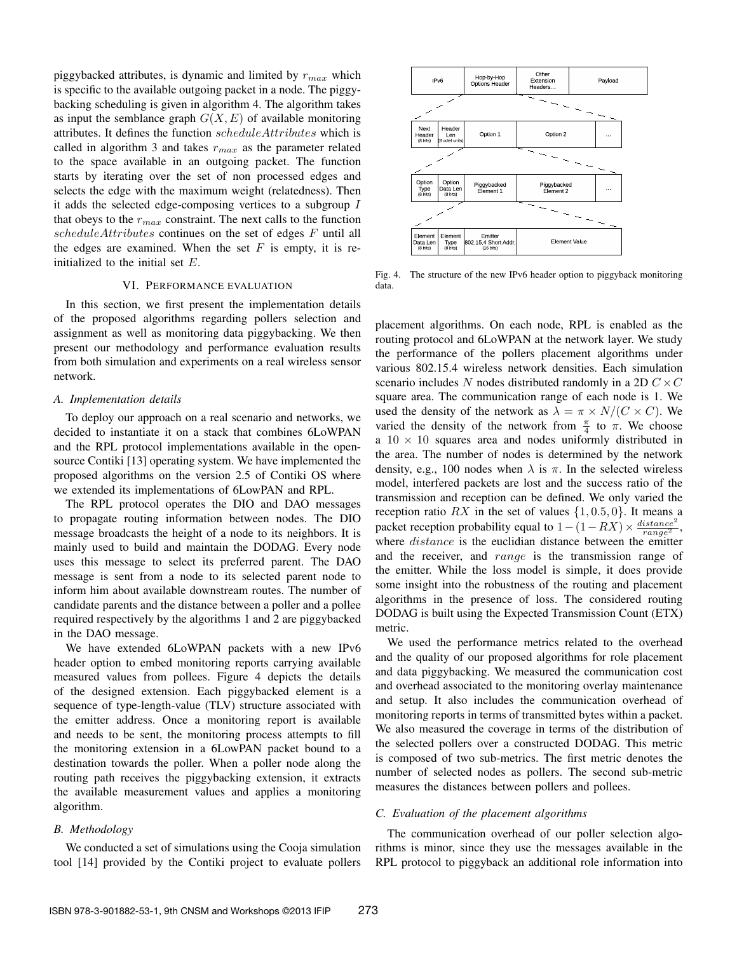piggybacked attributes, is dynamic and limited by  $r_{max}$  which is specific to the available outgoing packet in a node. The piggybacking scheduling is given in algorithm 4. The algorithm takes as input the semblance graph  $G(X, E)$  of available monitoring attributes. It defines the function scheduleAttributes which is called in algorithm 3 and takes  $r_{max}$  as the parameter related to the space available in an outgoing packet. The function starts by iterating over the set of non processed edges and selects the edge with the maximum weight (relatedness). Then it adds the selected edge-composing vertices to a subgroup I that obeys to the  $r_{max}$  constraint. The next calls to the function scheduleAttributes continues on the set of edges F until all the edges are examined. When the set  $F$  is empty, it is reinitialized to the initial set E.

## VI. PERFORMANCE EVALUATION

In this section, we first present the implementation details of the proposed algorithms regarding pollers selection and assignment as well as monitoring data piggybacking. We then present our methodology and performance evaluation results from both simulation and experiments on a real wireless sensor network.

#### *A. Implementation details*

To deploy our approach on a real scenario and networks, we decided to instantiate it on a stack that combines 6LoWPAN and the RPL protocol implementations available in the opensource Contiki [13] operating system. We have implemented the proposed algorithms on the version 2.5 of Contiki OS where we extended its implementations of 6LowPAN and RPL.

The RPL protocol operates the DIO and DAO messages to propagate routing information between nodes. The DIO message broadcasts the height of a node to its neighbors. It is mainly used to build and maintain the DODAG. Every node uses this message to select its preferred parent. The DAO message is sent from a node to its selected parent node to inform him about available downstream routes. The number of candidate parents and the distance between a poller and a pollee required respectively by the algorithms 1 and 2 are piggybacked in the DAO message.

We have extended 6LoWPAN packets with a new IPv6 header option to embed monitoring reports carrying available measured values from pollees. Figure 4 depicts the details of the designed extension. Each piggybacked element is a sequence of type-length-value (TLV) structure associated with the emitter address. Once a monitoring report is available and needs to be sent, the monitoring process attempts to fill the monitoring extension in a 6LowPAN packet bound to a destination towards the poller. When a poller node along the routing path receives the piggybacking extension, it extracts the available measurement values and applies a monitoring algorithm.

#### *B. Methodology*

We conducted a set of simulations using the Cooja simulation tool [14] provided by the Contiki project to evaluate pollers



Fig. 4. The structure of the new IPv6 header option to piggyback monitoring data

placement algorithms. On each node, RPL is enabled as the routing protocol and 6LoWPAN at the network layer. We study the performance of the pollers placement algorithms under various 802.15.4 wireless network densities. Each simulation scenario includes N nodes distributed randomly in a 2D  $C \times C$ square area. The communication range of each node is 1. We used the density of the network as  $\lambda = \pi \times N / (C \times C)$ . We varied the density of the network from  $\frac{\pi}{4}$  to  $\pi$ . We choose a  $10 \times 10$  squares area and nodes uniformly distributed in the area. The number of nodes is determined by the network density, e.g., 100 nodes when  $\lambda$  is  $\pi$ . In the selected wireless model, interfered packets are lost and the success ratio of the transmission and reception can be defined. We only varied the reception ratio RX in the set of values  $\{1, 0.5, 0\}$ . It means a packet reception probability equal to  $1-(1-RX) \times \frac{distance^2}{range^2}$ , where *distance* is the euclidian distance between the emitter and the receiver, and range is the transmission range of the emitter. While the loss model is simple, it does provide some insight into the robustness of the routing and placement algorithms in the presence of loss. The considered routing DODAG is built using the Expected Transmission Count (ETX) metric.

We used the performance metrics related to the overhead and the quality of our proposed algorithms for role placement and data piggybacking. We measured the communication cost and overhead associated to the monitoring overlay maintenance and setup. It also includes the communication overhead of monitoring reports in terms of transmitted bytes within a packet. We also measured the coverage in terms of the distribution of the selected pollers over a constructed DODAG. This metric is composed of two sub-metrics. The first metric denotes the number of selected nodes as pollers. The second sub-metric measures the distances between pollers and pollees.

### *C. Evaluation of the placement algorithms*

The communication overhead of our poller selection algorithms is minor, since they use the messages available in the RPL protocol to piggyback an additional role information into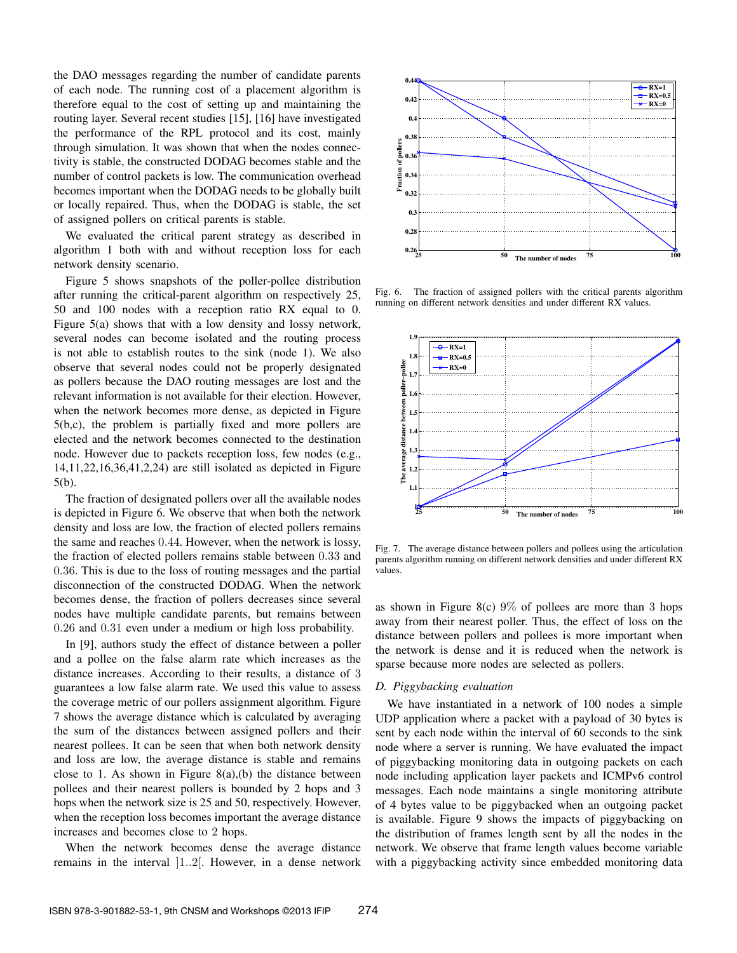the DAO messages regarding the number of candidate parents of each node. The running cost of a placement algorithm is therefore equal to the cost of setting up and maintaining the routing layer. Several recent studies [15], [16] have investigated the performance of the RPL protocol and its cost, mainly through simulation. It was shown that when the nodes connectivity is stable, the constructed DODAG becomes stable and the number of control packets is low. The communication overhead becomes important when the DODAG needs to be globally built or locally repaired. Thus, when the DODAG is stable, the set of assigned pollers on critical parents is stable.

We evaluated the critical parent strategy as described in algorithm 1 both with and without reception loss for each network density scenario.

Figure 5 shows snapshots of the poller-pollee distribution after running the critical-parent algorithm on respectively 25, 50 and 100 nodes with a reception ratio RX equal to 0. Figure 5(a) shows that with a low density and lossy network, several nodes can become isolated and the routing process is not able to establish routes to the sink (node 1). We also observe that several nodes could not be properly designated as pollers because the DAO routing messages are lost and the relevant information is not available for their election. However, when the network becomes more dense, as depicted in Figure 5(b,c), the problem is partially fixed and more pollers are elected and the network becomes connected to the destination node. However due to packets reception loss, few nodes (e.g., 14,11,22,16,36,41,2,24) are still isolated as depicted in Figure 5(b).

The fraction of designated pollers over all the available nodes is depicted in Figure 6. We observe that when both the network density and loss are low, the fraction of elected pollers remains the same and reaches 0.44. However, when the network is lossy, the fraction of elected pollers remains stable between 0.33 and 0.36. This is due to the loss of routing messages and the partial disconnection of the constructed DODAG. When the network becomes dense, the fraction of pollers decreases since several nodes have multiple candidate parents, but remains between 0.26 and 0.31 even under a medium or high loss probability.

In [9], authors study the effect of distance between a poller and a pollee on the false alarm rate which increases as the distance increases. According to their results, a distance of 3 guarantees a low false alarm rate. We used this value to assess the coverage metric of our pollers assignment algorithm. Figure 7 shows the average distance which is calculated by averaging the sum of the distances between assigned pollers and their nearest pollees. It can be seen that when both network density and loss are low, the average distance is stable and remains close to 1. As shown in Figure  $8(a)$ , (b) the distance between pollees and their nearest pollers is bounded by 2 hops and 3 hops when the network size is 25 and 50, respectively. However, when the reception loss becomes important the average distance increases and becomes close to 2 hops.

When the network becomes dense the average distance remains in the interval ]1..2[. However, in a dense network



Fig. 6. The fraction of assigned pollers with the critical parents algorithm running on different network densities and under different RX values.



Fig. 7. The average distance between pollers and pollees using the articulation parents algorithm running on different network densities and under different RX values.

as shown in Figure 8(c)  $9\%$  of pollees are more than 3 hops away from their nearest poller. Thus, the effect of loss on the distance between pollers and pollees is more important when the network is dense and it is reduced when the network is sparse because more nodes are selected as pollers.

## *D. Piggybacking evaluation*

We have instantiated in a network of 100 nodes a simple UDP application where a packet with a payload of 30 bytes is sent by each node within the interval of 60 seconds to the sink node where a server is running. We have evaluated the impact of piggybacking monitoring data in outgoing packets on each node including application layer packets and ICMPv6 control messages. Each node maintains a single monitoring attribute of 4 bytes value to be piggybacked when an outgoing packet is available. Figure 9 shows the impacts of piggybacking on the distribution of frames length sent by all the nodes in the network. We observe that frame length values become variable with a piggybacking activity since embedded monitoring data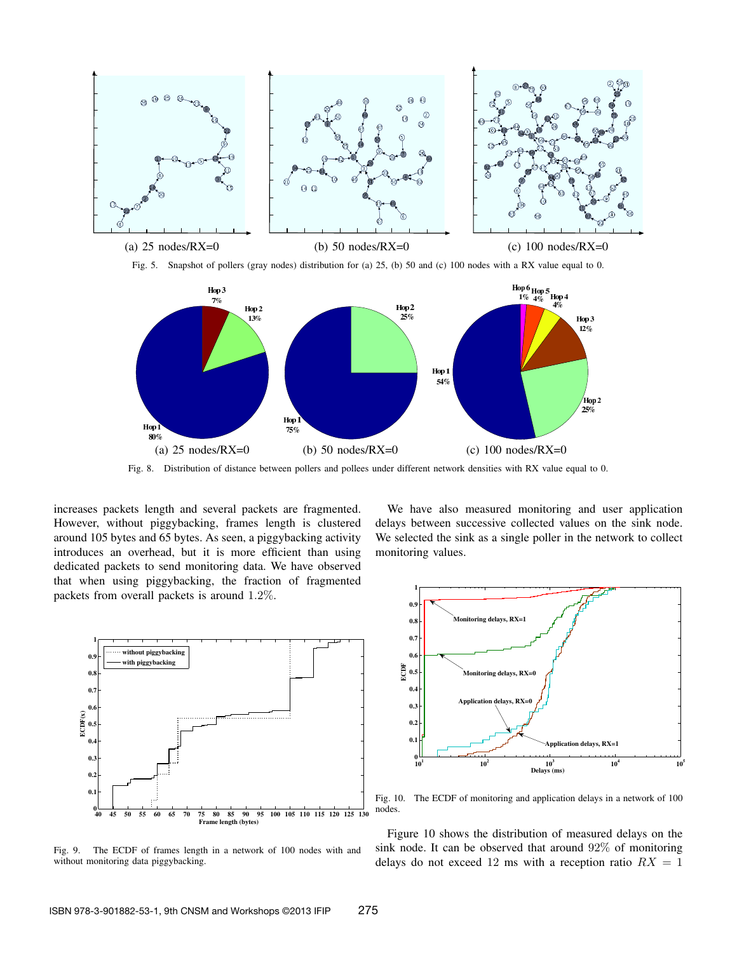

Fig. 5. Snapshot of pollers (gray nodes) distribution for (a) 25, (b) 50 and (c) 100 nodes with a RX value equal to 0.



Fig. 8. Distribution of distance between pollers and pollees under different network densities with RX value equal to 0.

increases packets length and several packets are fragmented. However, without piggybacking, frames length is clustered around 105 bytes and 65 bytes. As seen, a piggybacking activity introduces an overhead, but it is more efficient than using dedicated packets to send monitoring data. We have observed that when using piggybacking, the fraction of fragmented packets from overall packets is around 1.2%.



Fig. 9. The ECDF of frames length in a network of 100 nodes with and without monitoring data piggybacking.

We have also measured monitoring and user application delays between successive collected values on the sink node. We selected the sink as a single poller in the network to collect monitoring values.



Fig. 10. The ECDF of monitoring and application delays in a network of 100 nodes.

Figure 10 shows the distribution of measured delays on the sink node. It can be observed that around 92% of monitoring delays do not exceed 12 ms with a reception ratio  $RX = 1$